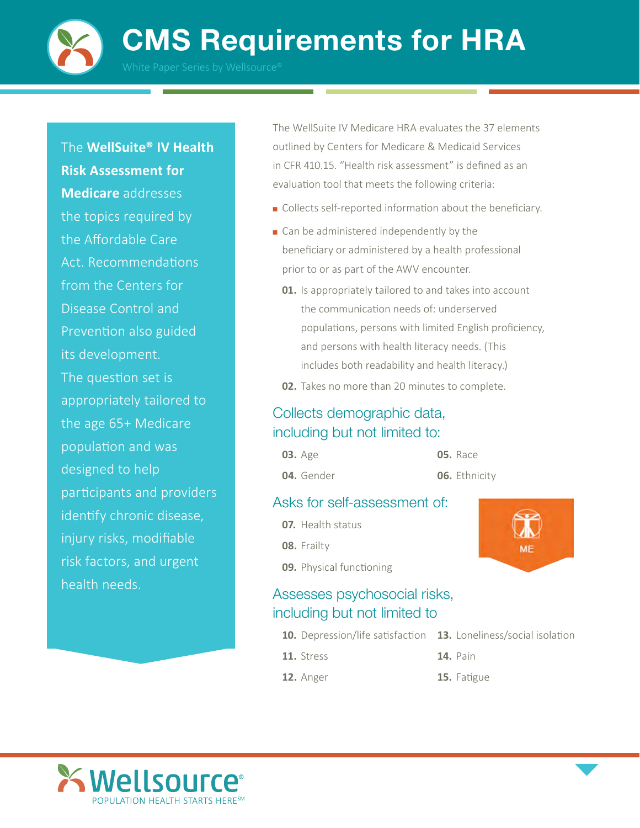CMS Requirements for HRA



The **WellSuite® IV Health** 

**Risk Assessment for Medicare** addresses the topics required by the Affordable Care Act. Recommendations from the Centers for Disease Control and Prevention also guided its development. The question set is appropriately tailored to the age 65+ Medicare population and was designed to help participants and providers identify chronic disease, injury risks, modifiable risk factors, and urgent health needs.

The WellSuite IV Medicare HRA evaluates the 37 elements outlined by Centers for Medicare & Medicaid Services in CFR 410.15. "Health risk assessment" is defined as an evaluation tool that meets the following criteria:

- Collects self-reported information about the beneficiary.
- Can be administered independently by the beneficiary or administered by a health professional prior to or as part of the AWV encounter.
	- **01.** Is appropriately tailored to and takes into account the communication needs of: underserved populations, persons with limited English proficiency, and persons with health literacy needs. (This includes both readability and health literacy.)
	- **02.** Takes no more than 20 minutes to complete.

#### Collects demographic data, including but not limited to:

**03.** Age **04.** Gender **05.** Race

**06.** Ethnicity

#### Asks for self-assessment of:

- **07.** Health status **08.** Frailty
- **09.** Physical functioning

## Assesses psychosocial risks, including but not limited to

- **10.** Depression/life satisfaction **13.** Loneliness/social isolation
- **11.** Stress
- **12.** Anger
- 
- **14.** Pain
	- **15.** Fatigue